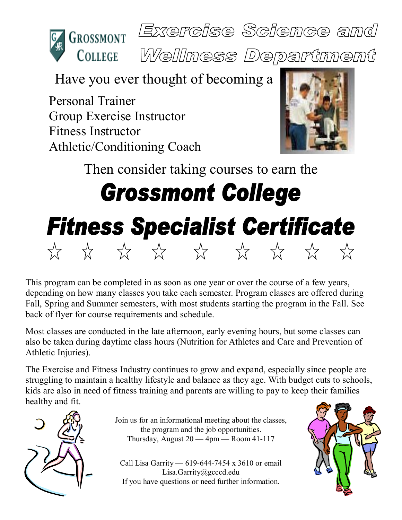



Welliness Department

Have you ever thought of becoming a

Personal Trainer Group Exercise Instructor Fitness Instructor Athletic/Conditioning Coach



Then consider taking courses to earn the **Grossmont College Fitness Specialist Certificate** A A A A A A A A

This program can be completed in as soon as one year or over the course of a few years, depending on how many classes you take each semester. Program classes are offered during Fall, Spring and Summer semesters, with most students starting the program in the Fall. See back of flyer for course requirements and schedule.

Most classes are conducted in the late afternoon, early evening hours, but some classes can also be taken during daytime class hours (Nutrition for Athletes and Care and Prevention of Athletic Injuries).

The Exercise and Fitness Industry continues to grow and expand, especially since people are struggling to maintain a healthy lifestyle and balance as they age. With budget cuts to schools, kids are also in need of fitness training and parents are willing to pay to keep their families healthy and fit.



Join us for an informational meeting about the classes, the program and the job opportunities. Thursday, August  $20 - 4$ pm — Room 41-117

Call Lisa Garrity — 619-644-7454 x 3610 or email Lisa.Garrity@gcccd.edu If you have questions or need further information.